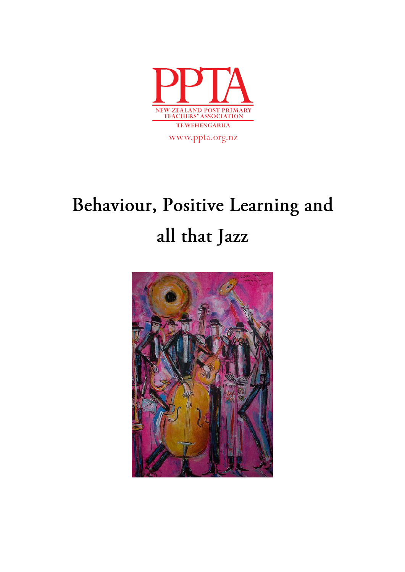

www.ppta.org.nz

# Behaviour, Positive Learning and all that Jazz

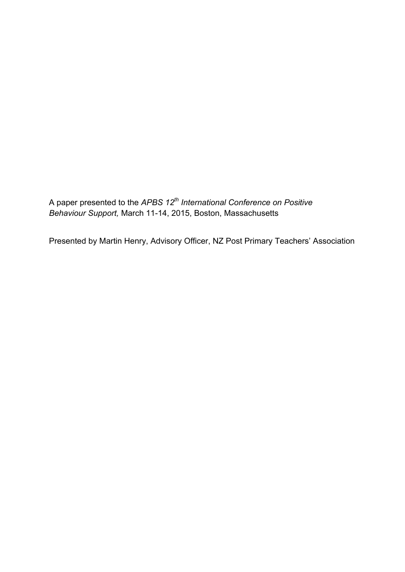A paper presented to the *APBS 12th International Conference on Positive Behaviour Support,* March 11-14, 2015, Boston, Massachusetts

Presented by Martin Henry, Advisory Officer, NZ Post Primary Teachers' Association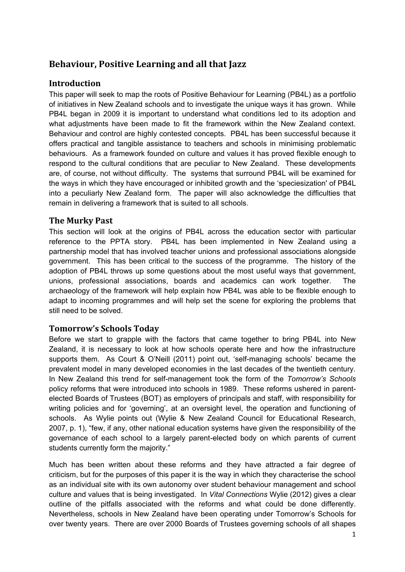## **Behaviour, Positive Learning and all that Jazz**

#### **Introduction**

This paper will seek to map the roots of Positive Behaviour for Learning (PB4L) as a portfolio of initiatives in New Zealand schools and to investigate the unique ways it has grown. While PB4L began in 2009 it is important to understand what conditions led to its adoption and what adjustments have been made to fit the framework within the New Zealand context. Behaviour and control are highly contested concepts. PB4L has been successful because it offers practical and tangible assistance to teachers and schools in minimising problematic behaviours. As a framework founded on culture and values it has proved flexible enough to respond to the cultural conditions that are peculiar to New Zealand. These developments are, of course, not without difficulty. The systems that surround PB4L will be examined for the ways in which they have encouraged or inhibited growth and the 'speciesization' of PB4L into a peculiarly New Zealand form. The paper will also acknowledge the difficulties that remain in delivering a framework that is suited to all schools.

#### **The Murky Past**

This section will look at the origins of PB4L across the education sector with particular reference to the PPTA story. PB4L has been implemented in New Zealand using a partnership model that has involved teacher unions and professional associations alongside government. This has been critical to the success of the programme. The history of the adoption of PB4L throws up some questions about the most useful ways that government, unions, professional associations, boards and academics can work together. The archaeology of the framework will help explain how PB4L was able to be flexible enough to adapt to incoming programmes and will help set the scene for exploring the problems that still need to be solved.

#### **Tomorrow's Schools Today**

Before we start to grapple with the factors that came together to bring PB4L into New Zealand, it is necessary to look at how schools operate here and how the infrastructure supports them. As Court & O'Neill (2011) point out, 'self-managing schools' became the prevalent model in many developed economies in the last decades of the twentieth century. In New Zealand this trend for self-management took the form of the *Tomorrow's Schools* policy reforms that were introduced into schools in 1989. These reforms ushered in parentelected Boards of Trustees (BOT) as employers of principals and staff, with responsibility for writing policies and for 'governing', at an oversight level, the operation and functioning of schools. As Wylie points out (Wylie & New Zealand Council for Educational Research, 2007, p. 1), "few, if any, other national education systems have given the responsibility of the governance of each school to a largely parent-elected body on which parents of current students currently form the majority."

Much has been written about these reforms and they have attracted a fair degree of criticism, but for the purposes of this paper it is the way in which they characterise the school as an individual site with its own autonomy over student behaviour management and school culture and values that is being investigated. In *Vital Connections* Wylie (2012) gives a clear outline of the pitfalls associated with the reforms and what could be done differently. Nevertheless, schools in New Zealand have been operating under Tomorrow's Schools for over twenty years. There are over 2000 Boards of Trustees governing schools of all shapes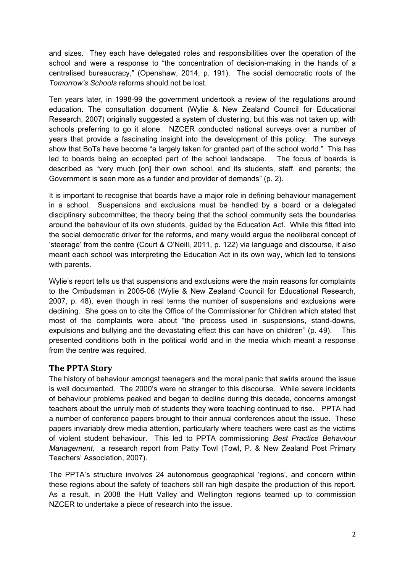and sizes. They each have delegated roles and responsibilities over the operation of the school and were a response to "the concentration of decision-making in the hands of a centralised bureaucracy," (Openshaw, 2014, p. 191). The social democratic roots of the *Tomorrow's Schools* reforms should not be lost.

Ten years later, in 1998-99 the government undertook a review of the regulations around education. The consultation document (Wylie & New Zealand Council for Educational Research, 2007) originally suggested a system of clustering, but this was not taken up, with schools preferring to go it alone. NZCER conducted national surveys over a number of years that provide a fascinating insight into the development of this policy. The surveys show that BoTs have become "a largely taken for granted part of the school world." This has led to boards being an accepted part of the school landscape. The focus of boards is described as "very much [on] their own school, and its students, staff, and parents; the Government is seen more as a funder and provider of demands" (p. 2).

It is important to recognise that boards have a major role in defining behaviour management in a school. Suspensions and exclusions must be handled by a board or a delegated disciplinary subcommittee; the theory being that the school community sets the boundaries around the behaviour of its own students, guided by the Education Act. While this fitted into the social democratic driver for the reforms, and many would argue the neoliberal concept of 'steerage' from the centre (Court & O'Neill, 2011, p. 122) via language and discourse, it also meant each school was interpreting the Education Act in its own way, which led to tensions with parents.

Wylie's report tells us that suspensions and exclusions were the main reasons for complaints to the Ombudsman in 2005-06 (Wylie & New Zealand Council for Educational Research, 2007, p. 48), even though in real terms the number of suspensions and exclusions were declining. She goes on to cite the Office of the Commissioner for Children which stated that most of the complaints were about "the process used in suspensions, stand-downs, expulsions and bullying and the devastating effect this can have on children" (p. 49). This presented conditions both in the political world and in the media which meant a response from the centre was required.

#### **The PPTA Story**

The history of behaviour amongst teenagers and the moral panic that swirls around the issue is well documented. The 2000's were no stranger to this discourse. While severe incidents of behaviour problems peaked and began to decline during this decade, concerns amongst teachers about the unruly mob of students they were teaching continued to rise. PPTA had a number of conference papers brought to their annual conferences about the issue. These papers invariably drew media attention, particularly where teachers were cast as the victims of violent student behaviour. This led to PPTA commissioning *Best Practice Behaviour Management,* a research report from Patty Towl (Towl, P. & New Zealand Post Primary Teachers' Association, 2007).

The PPTA's structure involves 24 autonomous geographical 'regions', and concern within these regions about the safety of teachers still ran high despite the production of this report. As a result, in 2008 the Hutt Valley and Wellington regions teamed up to commission NZCER to undertake a piece of research into the issue.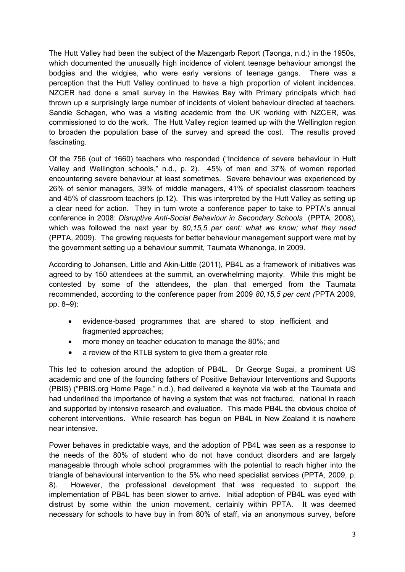The Hutt Valley had been the subject of the Mazengarb Report (Taonga, n.d.) in the 1950s, which documented the unusually high incidence of violent teenage behaviour amongst the bodgies and the widgies, who were early versions of teenage gangs. There was a perception that the Hutt Valley continued to have a high proportion of violent incidences. NZCER had done a small survey in the Hawkes Bay with Primary principals which had thrown up a surprisingly large number of incidents of violent behaviour directed at teachers. Sandie Schagen, who was a visiting academic from the UK working with NZCER, was commissioned to do the work. The Hutt Valley region teamed up with the Wellington region to broaden the population base of the survey and spread the cost. The results proved fascinating.

Of the 756 (out of 1660) teachers who responded ("Incidence of severe behaviour in Hutt Valley and Wellington schools," n.d., p. 2). 45% of men and 37% of women reported encountering severe behaviour at least sometimes. Severe behaviour was experienced by 26% of senior managers, 39% of middle managers, 41% of specialist classroom teachers and 45% of classroom teachers (p.12). This was interpreted by the Hutt Valley as setting up a clear need for action. They in turn wrote a conference paper to take to PPTA's annual conference in 2008: *Disruptive Anti-Social Behaviour in Secondary Schools* (PPTA, 2008)*,* which was followed the next year by *80,15,5 per cent: what we know; what they need*  (PPTA, 2009). The growing requests for better behaviour management support were met by the government setting up a behaviour summit, Taumata Whanonga, in 2009.

According to Johansen, Little and Akin-Little (2011), PB4L as a framework of initiatives was agreed to by 150 attendees at the summit, an overwhelming majority. While this might be contested by some of the attendees, the plan that emerged from the Taumata recommended, according to the conference paper from 2009 *80,15,5 per cent (*PPTA 2009, pp. 8–9):

- evidence-based programmes that are shared to stop inefficient and fragmented approaches;
- more money on teacher education to manage the 80%; and
- a review of the RTLB system to give them a greater role

This led to cohesion around the adoption of PB4L. Dr George Sugai, a prominent US academic and one of the founding fathers of Positive Behaviour Interventions and Supports (PBIS) ("PBIS.org Home Page," n.d.), had delivered a keynote via web at the Taumata and had underlined the importance of having a system that was not fractured, national in reach and supported by intensive research and evaluation. This made PB4L the obvious choice of coherent interventions. While research has begun on PB4L in New Zealand it is nowhere near intensive.

Power behaves in predictable ways, and the adoption of PB4L was seen as a response to the needs of the 80% of student who do not have conduct disorders and are largely manageable through whole school programmes with the potential to reach higher into the triangle of behavioural intervention to the 5% who need specialist services (PPTA, 2009, p. 8). However, the professional development that was requested to support the implementation of PB4L has been slower to arrive. Initial adoption of PB4L was eyed with distrust by some within the union movement, certainly within PPTA. It was deemed necessary for schools to have buy in from 80% of staff, via an anonymous survey, before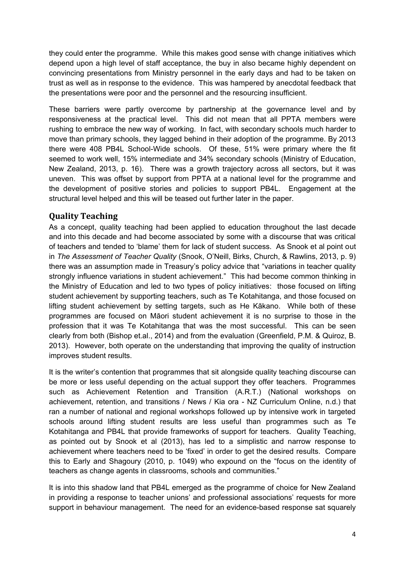they could enter the programme. While this makes good sense with change initiatives which depend upon a high level of staff acceptance, the buy in also became highly dependent on convincing presentations from Ministry personnel in the early days and had to be taken on trust as well as in response to the evidence. This was hampered by anecdotal feedback that the presentations were poor and the personnel and the resourcing insufficient.

These barriers were partly overcome by partnership at the governance level and by responsiveness at the practical level. This did not mean that all PPTA members were rushing to embrace the new way of working. In fact, with secondary schools much harder to move than primary schools, they lagged behind in their adoption of the programme. By 2013 there were 408 PB4L School-Wide schools. Of these, 51% were primary where the fit seemed to work well, 15% intermediate and 34% secondary schools (Ministry of Education, New Zealand, 2013, p. 16). There was a growth trajectory across all sectors, but it was uneven. This was offset by support from PPTA at a national level for the programme and the development of positive stories and policies to support PB4L. Engagement at the structural level helped and this will be teased out further later in the paper.

#### **Quality Teaching**

As a concept, quality teaching had been applied to education throughout the last decade and into this decade and had become associated by some with a discourse that was critical of teachers and tended to 'blame' them for lack of student success. As Snook et al point out in *The Assessment of Teacher Quality* (Snook, O'Neill, Birks, Church, & Rawlins, 2013, p. 9) there was an assumption made in Treasury's policy advice that "variations in teacher quality strongly influence variations in student achievement." This had become common thinking in the Ministry of Education and led to two types of policy initiatives: those focused on lifting student achievement by supporting teachers, such as Te Kotahitanga, and those focused on lifting student achievement by setting targets, such as He Kākano. While both of these programmes are focused on Māori student achievement it is no surprise to those in the profession that it was Te Kotahitanga that was the most successful. This can be seen clearly from both (Bishop et.al., 2014) and from the evaluation (Greenfield, P.M. & Quiroz, B. 2013). However, both operate on the understanding that improving the quality of instruction improves student results.

It is the writer's contention that programmes that sit alongside quality teaching discourse can be more or less useful depending on the actual support they offer teachers. Programmes such as Achievement Retention and Transition (A.R.T.) (National workshops on achievement, retention, and transitions / News / Kia ora - NZ Curriculum Online, n.d.) that ran a number of national and regional workshops followed up by intensive work in targeted schools around lifting student results are less useful than programmes such as Te Kotahitanga and PB4L that provide frameworks of support for teachers. Quality Teaching, as pointed out by Snook et al (2013), has led to a simplistic and narrow response to achievement where teachers need to be 'fixed' in order to get the desired results. Compare this to Early and Shagoury (2010, p. 1049) who expound on the "focus on the identity of teachers as change agents in classrooms, schools and communities."

It is into this shadow land that PB4L emerged as the programme of choice for New Zealand in providing a response to teacher unions' and professional associations' requests for more support in behaviour management. The need for an evidence-based response sat squarely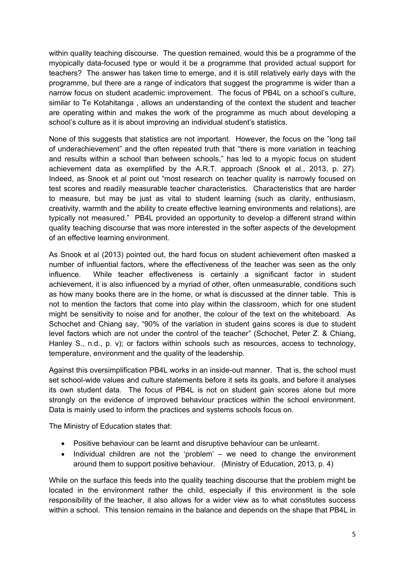within quality teaching discourse. The question remained, would this be a programme of the myopically data-focused type or would it be a programme that provided actual support for teachers? The answer has taken time to emerge, and it is still relatively early days with the programme, but there are a range of indicators that suggest the programme is wider than a narrow focus on student academic improvement. The focus of PB4L on a school's culture, similar to Te Kotahitanga , allows an understanding of the context the student and teacher are operating within and makes the work of the programme as much about developing a school's culture as it is about improving an individual student's statistics.

None of this suggests that statistics are not important. However, the focus on the "long tail of underachievement" and the often repeated truth that "there is more variation in teaching and results within a school than between schools," has led to a myopic focus on student achievement data as exemplified by the A.R.T. approach (Snook et al., 2013, p. 27). Indeed, as Snook et al point out "most research on teacher quality is narrowly focused on test scores and readily measurable teacher characteristics. Characteristics that are harder to measure, but may be just as vital to student learning (such as clarity, enthusiasm, creativity, warmth and the ability to create effective learning environments and relations), are typically not measured." PB4L provided an opportunity to develop a different strand within quality teaching discourse that was more interested in the softer aspects of the development of an effective learning environment.

As Snook et al (2013) pointed out, the hard focus on student achievement often masked a number of influential factors, where the effectiveness of the teacher was seen as the only influence. While teacher effectiveness is certainly a significant factor in student achievement, it is also influenced by a myriad of other, often unmeasurable, conditions such as how many books there are in the home, or what is discussed at the dinner table. This is not to mention the factors that come into play within the classroom, which for one student might be sensitivity to noise and for another, the colour of the text on the whiteboard. As Schochet and Chiang say, "90% of the variation in student gains scores is due to student level factors which are not under the control of the teacher" (Schochet, Peter Z. & Chiang, Hanley S., n.d., p. v); or factors within schools such as resources, access to technology, temperature, environment and the quality of the leadership.

Against this oversimplification PB4L works in an inside-out manner. That is, the school must set school-wide values and culture statements before it sets its goals, and before it analyses its own student data. The focus of PB4L is not on student gain scores alone but more strongly on the evidence of improved behaviour practices within the school environment. Data is mainly used to inform the practices and systems schools focus on.

The Ministry of Education states that:

- Positive behaviour can be learnt and disruptive behaviour can be unlearnt.
- Individual children are not the 'problem' we need to change the environment around them to support positive behaviour. (Ministry of Education, 2013, p. 4)

While on the surface this feeds into the quality teaching discourse that the problem might be located in the environment rather the child, especially if this environment is the sole responsibility of the teacher, it also allows for a wider view as to what constitutes success within a school. This tension remains in the balance and depends on the shape that PB4L in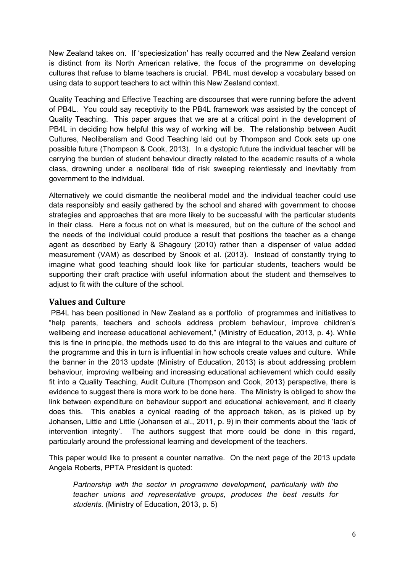New Zealand takes on. If 'speciesization' has really occurred and the New Zealand version is distinct from its North American relative, the focus of the programme on developing cultures that refuse to blame teachers is crucial. PB4L must develop a vocabulary based on using data to support teachers to act within this New Zealand context.

Quality Teaching and Effective Teaching are discourses that were running before the advent of PB4L. You could say receptivity to the PB4L framework was assisted by the concept of Quality Teaching. This paper argues that we are at a critical point in the development of PB4L in deciding how helpful this way of working will be. The relationship between Audit Cultures, Neoliberalism and Good Teaching laid out by Thompson and Cook sets up one possible future (Thompson & Cook, 2013). In a dystopic future the individual teacher will be carrying the burden of student behaviour directly related to the academic results of a whole class, drowning under a neoliberal tide of risk sweeping relentlessly and inevitably from government to the individual.

Alternatively we could dismantle the neoliberal model and the individual teacher could use data responsibly and easily gathered by the school and shared with government to choose strategies and approaches that are more likely to be successful with the particular students in their class. Here a focus not on what is measured, but on the culture of the school and the needs of the individual could produce a result that positions the teacher as a change agent as described by Early & Shagoury (2010) rather than a dispenser of value added measurement (VAM) as described by Snook et al. (2013). Instead of constantly trying to imagine what good teaching should look like for particular students, teachers would be supporting their craft practice with useful information about the student and themselves to adjust to fit with the culture of the school.

#### **Values and Culture**

 PB4L has been positioned in New Zealand as a portfolio of programmes and initiatives to "help parents, teachers and schools address problem behaviour, improve children's wellbeing and increase educational achievement," (Ministry of Education, 2013, p. 4). While this is fine in principle, the methods used to do this are integral to the values and culture of the programme and this in turn is influential in how schools create values and culture. While the banner in the 2013 update (Ministry of Education, 2013) is about addressing problem behaviour, improving wellbeing and increasing educational achievement which could easily fit into a Quality Teaching, Audit Culture (Thompson and Cook, 2013) perspective, there is evidence to suggest there is more work to be done here. The Ministry is obliged to show the link between expenditure on behaviour support and educational achievement, and it clearly does this. This enables a cynical reading of the approach taken, as is picked up by Johansen, Little and Little (Johansen et al., 2011, p. 9) in their comments about the 'lack of intervention integrity'. The authors suggest that more could be done in this regard, particularly around the professional learning and development of the teachers.

This paper would like to present a counter narrative. On the next page of the 2013 update Angela Roberts, PPTA President is quoted:

*Partnership with the sector in programme development, particularly with the teacher unions and representative groups, produces the best results for students.* (Ministry of Education, 2013, p. 5)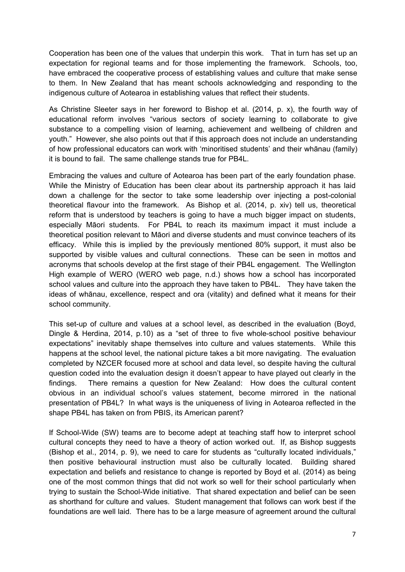Cooperation has been one of the values that underpin this work. That in turn has set up an expectation for regional teams and for those implementing the framework. Schools, too, have embraced the cooperative process of establishing values and culture that make sense to them. In New Zealand that has meant schools acknowledging and responding to the indigenous culture of Aotearoa in establishing values that reflect their students.

As Christine Sleeter says in her foreword to Bishop et al. (2014, p. x), the fourth way of educational reform involves "various sectors of society learning to collaborate to give substance to a compelling vision of learning, achievement and wellbeing of children and youth." However, she also points out that if this approach does not include an understanding of how professional educators can work with 'minoritised students' and their whānau (family) it is bound to fail. The same challenge stands true for PB4L.

Embracing the values and culture of Aotearoa has been part of the early foundation phase. While the Ministry of Education has been clear about its partnership approach it has laid down a challenge for the sector to take some leadership over injecting a post-colonial theoretical flavour into the framework. As Bishop et al. (2014, p. xiv) tell us, theoretical reform that is understood by teachers is going to have a much bigger impact on students, especially Māori students. For PB4L to reach its maximum impact it must include a theoretical position relevant to Māori and diverse students and must convince teachers of its efficacy. While this is implied by the previously mentioned 80% support, it must also be supported by visible values and cultural connections. These can be seen in mottos and acronyms that schools develop at the first stage of their PB4L engagement. The Wellington High example of WERO (WERO web page, n.d.) shows how a school has incorporated school values and culture into the approach they have taken to PB4L. They have taken the ideas of whānau, excellence, respect and ora (vitality) and defined what it means for their school community.

This set-up of culture and values at a school level, as described in the evaluation (Boyd, Dingle & Herdina, 2014, p.10) as a "set of three to five whole-school positive behaviour expectations" inevitably shape themselves into culture and values statements. While this happens at the school level, the national picture takes a bit more navigating. The evaluation completed by NZCER focused more at school and data level, so despite having the cultural question coded into the evaluation design it doesn't appear to have played out clearly in the findings. There remains a question for New Zealand: How does the cultural content obvious in an individual school's values statement, become mirrored in the national presentation of PB4L? In what ways is the uniqueness of living in Aotearoa reflected in the shape PB4L has taken on from PBIS, its American parent?

If School-Wide (SW) teams are to become adept at teaching staff how to interpret school cultural concepts they need to have a theory of action worked out. If, as Bishop suggests (Bishop et al., 2014, p. 9), we need to care for students as "culturally located individuals," then positive behavioural instruction must also be culturally located. Building shared expectation and beliefs and resistance to change is reported by Boyd et al. (2014) as being one of the most common things that did not work so well for their school particularly when trying to sustain the School-Wide initiative. That shared expectation and belief can be seen as shorthand for culture and values. Student management that follows can work best if the foundations are well laid. There has to be a large measure of agreement around the cultural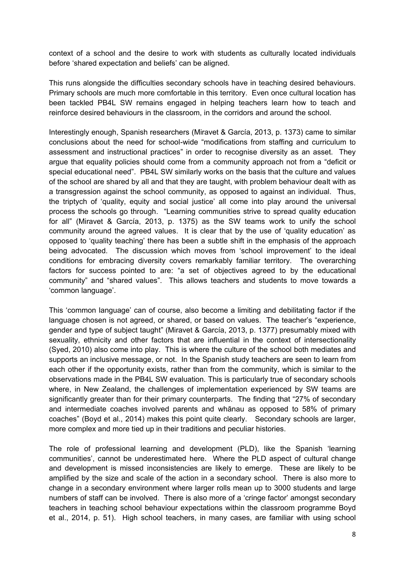context of a school and the desire to work with students as culturally located individuals before 'shared expectation and beliefs' can be aligned.

This runs alongside the difficulties secondary schools have in teaching desired behaviours. Primary schools are much more comfortable in this territory. Even once cultural location has been tackled PB4L SW remains engaged in helping teachers learn how to teach and reinforce desired behaviours in the classroom, in the corridors and around the school.

Interestingly enough, Spanish researchers (Miravet & García, 2013, p. 1373) came to similar conclusions about the need for school-wide "modifications from staffing and curriculum to assessment and instructional practices" in order to recognise diversity as an asset. They argue that equality policies should come from a community approach not from a "deficit or special educational need". PB4L SW similarly works on the basis that the culture and values of the school are shared by all and that they are taught, with problem behaviour dealt with as a transgression against the school community, as opposed to against an individual. Thus, the triptych of 'quality, equity and social justice' all come into play around the universal process the schools go through. "Learning communities strive to spread quality education for all" (Miravet & García, 2013, p. 1375) as the SW teams work to unify the school community around the agreed values. It is clear that by the use of 'quality education' as opposed to 'quality teaching' there has been a subtle shift in the emphasis of the approach being advocated. The discussion which moves from 'school improvement' to the ideal conditions for embracing diversity covers remarkably familiar territory. The overarching factors for success pointed to are: "a set of objectives agreed to by the educational community" and "shared values". This allows teachers and students to move towards a 'common language'.

This 'common language' can of course, also become a limiting and debilitating factor if the language chosen is not agreed, or shared, or based on values. The teacher's "experience, gender and type of subject taught" (Miravet & García, 2013, p. 1377) presumably mixed with sexuality, ethnicity and other factors that are influential in the context of intersectionality (Syed, 2010) also come into play. This is where the culture of the school both mediates and supports an inclusive message, or not. In the Spanish study teachers are seen to learn from each other if the opportunity exists, rather than from the community, which is similar to the observations made in the PB4L SW evaluation. This is particularly true of secondary schools where, in New Zealand, the challenges of implementation experienced by SW teams are significantly greater than for their primary counterparts. The finding that "27% of secondary and intermediate coaches involved parents and whānau as opposed to 58% of primary coaches" (Boyd et al., 2014) makes this point quite clearly. Secondary schools are larger, more complex and more tied up in their traditions and peculiar histories.

The role of professional learning and development (PLD), like the Spanish 'learning communities', cannot be underestimated here. Where the PLD aspect of cultural change and development is missed inconsistencies are likely to emerge. These are likely to be amplified by the size and scale of the action in a secondary school. There is also more to change in a secondary environment where larger rolls mean up to 3000 students and large numbers of staff can be involved. There is also more of a 'cringe factor' amongst secondary teachers in teaching school behaviour expectations within the classroom programme Boyd et al., 2014, p. 51). High school teachers, in many cases, are familiar with using school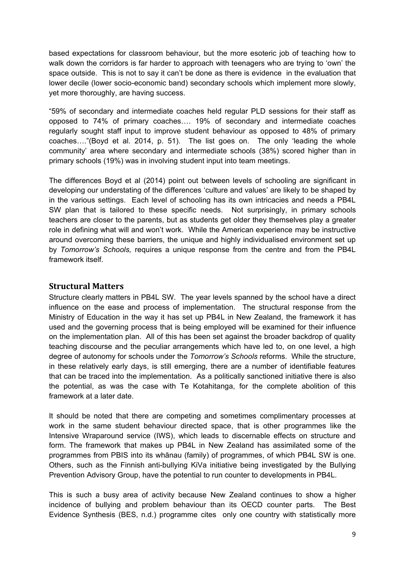based expectations for classroom behaviour, but the more esoteric job of teaching how to walk down the corridors is far harder to approach with teenagers who are trying to 'own' the space outside. This is not to say it can't be done as there is evidence in the evaluation that lower decile (lower socio-economic band) secondary schools which implement more slowly, yet more thoroughly, are having success.

"59% of secondary and intermediate coaches held regular PLD sessions for their staff as opposed to 74% of primary coaches…. 19% of secondary and intermediate coaches regularly sought staff input to improve student behaviour as opposed to 48% of primary coaches…."(Boyd et al. 2014, p. 51). The list goes on. The only 'leading the whole community' area where secondary and intermediate schools (38%) scored higher than in primary schools (19%) was in involving student input into team meetings.

The differences Boyd et al (2014) point out between levels of schooling are significant in developing our understating of the differences 'culture and values' are likely to be shaped by in the various settings. Each level of schooling has its own intricacies and needs a PB4L SW plan that is tailored to these specific needs. Not surprisingly, in primary schools teachers are closer to the parents, but as students get older they themselves play a greater role in defining what will and won't work. While the American experience may be instructive around overcoming these barriers, the unique and highly individualised environment set up by *Tomorrow's Schools,* requires a unique response from the centre and from the PB4L framework itself.

#### **Structural Matters**

Structure clearly matters in PB4L SW. The year levels spanned by the school have a direct influence on the ease and process of implementation. The structural response from the Ministry of Education in the way it has set up PB4L in New Zealand, the framework it has used and the governing process that is being employed will be examined for their influence on the implementation plan. All of this has been set against the broader backdrop of quality teaching discourse and the peculiar arrangements which have led to, on one level, a high degree of autonomy for schools under the *Tomorrow's Schools* reforms. While the structure, in these relatively early days, is still emerging, there are a number of identifiable features that can be traced into the implementation. As a politically sanctioned initiative there is also the potential, as was the case with Te Kotahitanga, for the complete abolition of this framework at a later date.

It should be noted that there are competing and sometimes complimentary processes at work in the same student behaviour directed space, that is other programmes like the Intensive Wraparound service (IWS), which leads to discernable effects on structure and form. The framework that makes up PB4L in New Zealand has assimilated some of the programmes from PBIS into its whānau (family) of programmes, of which PB4L SW is one. Others, such as the Finnish anti-bullying KiVa initiative being investigated by the Bullying Prevention Advisory Group, have the potential to run counter to developments in PB4L.

This is such a busy area of activity because New Zealand continues to show a higher incidence of bullying and problem behaviour than its OECD counter parts. The Best Evidence Synthesis (BES, n.d.) programme cites only one country with statistically more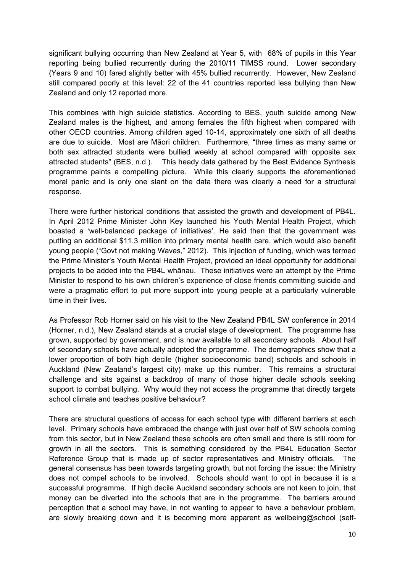significant bullying occurring than New Zealand at Year 5, with 68% of pupils in this Year reporting being bullied recurrently during the 2010/11 TIMSS round. Lower secondary (Years 9 and 10) fared slightly better with 45% bullied recurrently. However, New Zealand still compared poorly at this level: 22 of the 41 countries reported less bullying than New Zealand and only 12 reported more.

This combines with high suicide statistics. According to BES, youth suicide among New Zealand males is the highest, and among females the fifth highest when compared with other OECD countries. Among children aged 10-14, approximately one sixth of all deaths are due to suicide. Most are Māori children. Furthermore, "three times as many same or both sex attracted students were bullied weekly at school compared with opposite sex attracted students" (BES, n.d.). This heady data gathered by the Best Evidence Synthesis programme paints a compelling picture. While this clearly supports the aforementioned moral panic and is only one slant on the data there was clearly a need for a structural response.

There were further historical conditions that assisted the growth and development of PB4L. In April 2012 Prime Minister John Key launched his Youth Mental Health Project, which boasted a 'well-balanced package of initiatives'. He said then that the government was putting an additional \$11.3 million into primary mental health care, which would also benefit young people ("Govt not making Waves," 2012). This injection of funding, which was termed the Prime Minister's Youth Mental Health Project, provided an ideal opportunity for additional projects to be added into the PB4L whānau. These initiatives were an attempt by the Prime Minister to respond to his own children's experience of close friends committing suicide and were a pragmatic effort to put more support into young people at a particularly vulnerable time in their lives.

As Professor Rob Horner said on his visit to the New Zealand PB4L SW conference in 2014 (Horner, n.d.), New Zealand stands at a crucial stage of development. The programme has grown, supported by government, and is now available to all secondary schools. About half of secondary schools have actually adopted the programme. The demographics show that a lower proportion of both high decile (higher socioeconomic band) schools and schools in Auckland (New Zealand's largest city) make up this number. This remains a structural challenge and sits against a backdrop of many of those higher decile schools seeking support to combat bullying. Why would they not access the programme that directly targets school climate and teaches positive behaviour?

There are structural questions of access for each school type with different barriers at each level. Primary schools have embraced the change with just over half of SW schools coming from this sector, but in New Zealand these schools are often small and there is still room for growth in all the sectors. This is something considered by the PB4L Education Sector Reference Group that is made up of sector representatives and Ministry officials. The general consensus has been towards targeting growth, but not forcing the issue: the Ministry does not compel schools to be involved. Schools should want to opt in because it is a successful programme. If high decile Auckland secondary schools are not keen to join, that money can be diverted into the schools that are in the programme. The barriers around perception that a school may have, in not wanting to appear to have a behaviour problem, are slowly breaking down and it is becoming more apparent as wellbeing@school (self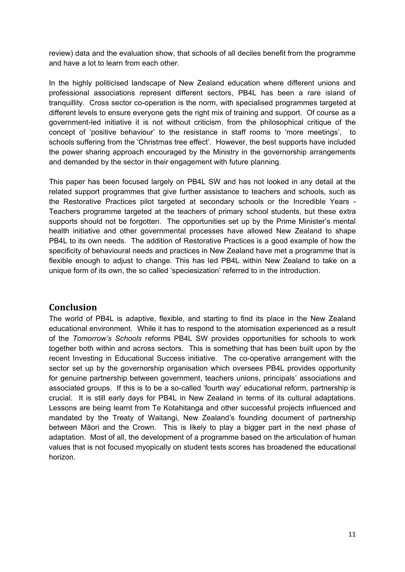review) data and the evaluation show, that schools of all deciles benefit from the programme and have a lot to learn from each other.

In the highly politicised landscape of New Zealand education where different unions and professional associations represent different sectors, PB4L has been a rare island of tranquillity. Cross sector co-operation is the norm, with specialised programmes targeted at different levels to ensure everyone gets the right mix of training and support. Of course as a government-led initiative it is not without criticism, from the philosophical critique of the concept of 'positive behaviour' to the resistance in staff rooms to 'more meetings', to schools suffering from the 'Christmas tree effect'. However, the best supports have included the power sharing approach encouraged by the Ministry in the governorship arrangements and demanded by the sector in their engagement with future planning.

This paper has been focused largely on PB4L SW and has not looked in any detail at the related support programmes that give further assistance to teachers and schools, such as the Restorative Practices pilot targeted at secondary schools or the Incredible Years - Teachers programme targeted at the teachers of primary school students, but these extra supports should not be forgotten. The opportunities set up by the Prime Minister's mental health initiative and other governmental processes have allowed New Zealand to shape PB4L to its own needs. The addition of Restorative Practices is a good example of how the specificity of behavioural needs and practices in New Zealand have met a programme that is flexible enough to adjust to change. This has led PB4L within New Zealand to take on a unique form of its own, the so called 'speciesization' referred to in the introduction.

#### **Conclusion**

The world of PB4L is adaptive, flexible, and starting to find its place in the New Zealand educational environment. While it has to respond to the atomisation experienced as a result of the *Tomorrow's Schools* reforms PB4L SW provides opportunities for schools to work together both within and across sectors. This is something that has been built upon by the recent Investing in Educational Success initiative. The co-operative arrangement with the sector set up by the governorship organisation which oversees PB4L provides opportunity for genuine partnership between government, teachers unions, principals' associations and associated groups. If this is to be a so-called 'fourth way' educational reform, partnership is crucial. It is still early days for PB4L in New Zealand in terms of its cultural adaptations. Lessons are being learnt from Te Kotahitanga and other successful projects influenced and mandated by the Treaty of Waitangi, New Zealand's founding document of partnership between Māori and the Crown. This is likely to play a bigger part in the next phase of adaptation. Most of all, the development of a programme based on the articulation of human values that is not focused myopically on student tests scores has broadened the educational horizon.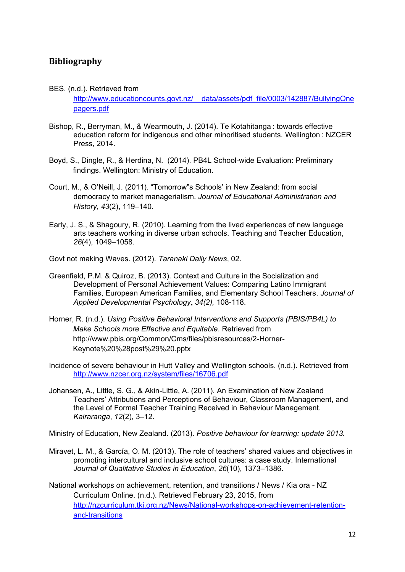### **Bibliography**

#### BES. (n.d.). Retrieved from

http://www.educationcounts.govt.nz/ data/assets/pdf file/0003/142887/BullyingOne [pagers.pdf](http://www.educationcounts.govt.nz/__data/assets/pdf_file/0003/142887/BullyingOnepagers.pdf)

- Bishop, R., Berryman, M., & Wearmouth, J. (2014). Te Kotahitanga : towards effective education reform for indigenous and other minoritised students. Wellington : NZCER Press, 2014.
- Boyd, S., Dingle, R., & Herdina, N. (2014). PB4L School-wide Evaluation: Preliminary findings. Wellington: Ministry of Education.
- Court, M., & O'Neill, J. (2011). "Tomorrow"s Schools' in New Zealand: from social democracy to market managerialism. *Journal of Educational Administration and History*, *43*(2), 119–140.
- Early, J. S., & Shagoury, R. (2010). Learning from the lived experiences of new language arts teachers working in diverse urban schools. Teaching and Teacher Education, *26*(4), 1049–1058.

Govt not making Waves. (2012). *Taranaki Daily News*, 02.

- Greenfield, P.M. & Quiroz, B. (2013). Context and Culture in the Socialization and Development of Personal Achievement Values: Comparing Latino Immigrant Families, European American Families, and Elementary School Teachers. *Journal of Applied Developmental Psychology*, *34(2),* 108-118.
- Horner, R. (n.d.). *Using Positive Behavioral Interventions and Supports (PBIS/PB4L) to Make Schools more Effective and Equitable*. Retrieved from [http://www.pbis.org/Common/Cms/files/pbisresources/2-Horner-](http://www.pbis.org/Common/Cms/files/pbisresources/2-Horner-Keynote%20%28post%29%20.pptx)[Keynote%20%28post%29%20.pptx](http://www.pbis.org/Common/Cms/files/pbisresources/2-Horner-Keynote%20%28post%29%20.pptx)
- Incidence of severe behaviour in Hutt Valley and Wellington schools. (n.d.). Retrieved from <http://www.nzcer.org.nz/system/files/16706.pdf>
- Johansen, A., Little, S. G., & Akin-Little, A. (2011). An Examination of New Zealand Teachers' Attributions and Perceptions of Behaviour, Classroom Management, and the Level of Formal Teacher Training Received in Behaviour Management. *Kairaranga*, *12*(2), 3–12.

Ministry of Education, New Zealand. (2013). *Positive behaviour for learning: update 2013.*

- Miravet, L. M., & García, O. M. (2013). The role of teachers' shared values and objectives in promoting intercultural and inclusive school cultures: a case study. International *Journal of Qualitative Studies in Education*, *26*(10), 1373–1386.
- National workshops on achievement, retention, and transitions / News / Kia ora NZ Curriculum Online. (n.d.). Retrieved February 23, 2015, from [http://nzcurriculum.tki.org.nz/News/National-workshops-on-achievement-retention](http://nzcurriculum.tki.org.nz/News/National-workshops-on-achievement-retention-and-transitions)[and-transitions](http://nzcurriculum.tki.org.nz/News/National-workshops-on-achievement-retention-and-transitions)